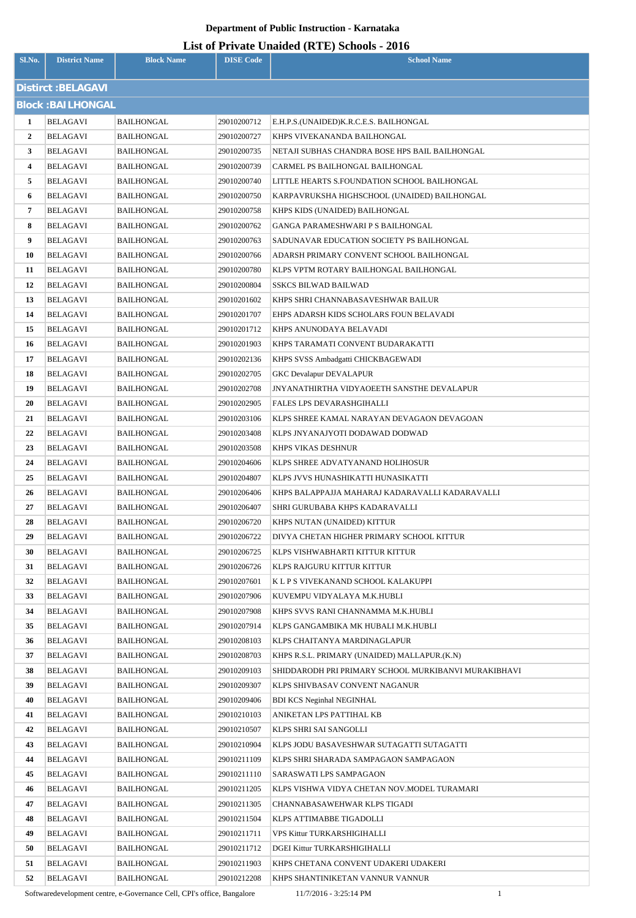### **List of Private Unaided (RTE) Schools - 2016**

| Sl.No.                  | <b>District Name</b>     | <b>Block Name</b>                      | <b>DISE Code</b>           | <b>School Name</b>                                                |  |  |  |
|-------------------------|--------------------------|----------------------------------------|----------------------------|-------------------------------------------------------------------|--|--|--|
|                         | Distirct : BELAGAVI      |                                        |                            |                                                                   |  |  |  |
|                         | <b>Block: BAILHONGAL</b> |                                        |                            |                                                                   |  |  |  |
| 1                       | <b>BELAGAVI</b>          | <b>BAILHONGAL</b>                      | 29010200712                | E.H.P.S.(UNAIDED)K.R.C.E.S. BAILHONGAL                            |  |  |  |
| $\overline{2}$          | BELAGAVI                 | <b>BAILHONGAL</b>                      | 29010200727                | KHPS VIVEKANANDA BAILHONGAL                                       |  |  |  |
| 3                       | BELAGAVI                 | BAILHONGAL                             | 29010200735                | NETAJI SUBHAS CHANDRA BOSE HPS BAIL BAILHONGAL                    |  |  |  |
| $\overline{\mathbf{4}}$ | BELAGAVI                 | <b>BAILHONGAL</b>                      | 29010200739                | CARMEL PS BAILHONGAL BAILHONGAL                                   |  |  |  |
| 5                       | BELAGAVI                 | <b>BAILHONGAL</b>                      | 29010200740                | LITTLE HEARTS S.FOUNDATION SCHOOL BAILHONGAL                      |  |  |  |
| 6                       | BELAGAVI                 | <b>BAILHONGAL</b>                      | 29010200750                | KARPAVRUKSHA HIGHSCHOOL (UNAIDED) BAILHONGAL                      |  |  |  |
| $\overline{7}$          | BELAGAVI                 | <b>BAILHONGAL</b>                      | 29010200758                | KHPS KIDS (UNAIDED) BAILHONGAL                                    |  |  |  |
| 8                       | BELAGAVI                 | <b>BAILHONGAL</b>                      | 29010200762                | GANGA PARAMESHWARI P S BAILHONGAL                                 |  |  |  |
| 9                       | BELAGAVI                 | BAILHONGAL                             | 29010200763                | SADUNAVAR EDUCATION SOCIETY PS BAILHONGAL                         |  |  |  |
| 10                      | BELAGAVI                 | BAILHONGAL                             | 29010200766                | ADARSH PRIMARY CONVENT SCHOOL BAILHONGAL                          |  |  |  |
| 11                      | BELAGAVI                 | BAILHONGAL                             | 29010200780                | KLPS VPTM ROTARY BAILHONGAL BAILHONGAL                            |  |  |  |
| 12                      | <b>BELAGAVI</b>          | BAILHONGAL                             | 29010200804                | <b>SSKCS BILWAD BAILWAD</b>                                       |  |  |  |
| 13                      | BELAGAVI                 | <b>BAILHONGAL</b>                      | 29010201602                | KHPS SHRI CHANNABASAVESHWAR BAILUR                                |  |  |  |
| 14                      | <b>BELAGAVI</b>          | BAILHONGAL                             | 29010201707                | EHPS ADARSH KIDS SCHOLARS FOUN BELAVADI                           |  |  |  |
| 15                      | BELAGAVI                 | <b>BAILHONGAL</b>                      | 29010201712                | KHPS ANUNODAYA BELAVADI                                           |  |  |  |
| 16                      | BELAGAVI                 | <b>BAILHONGAL</b>                      | 29010201903                | KHPS TARAMATI CONVENT BUDARAKATTI                                 |  |  |  |
| 17                      | BELAGAVI                 | <b>BAILHONGAL</b>                      | 29010202136                | KHPS SVSS Ambadgatti CHICKBAGEWADI                                |  |  |  |
| 18                      | BELAGAVI                 | <b>BAILHONGAL</b>                      | 29010202705                | GKC Devalapur DEVALAPUR                                           |  |  |  |
| 19                      | BELAGAVI                 | <b>BAILHONGAL</b>                      | 29010202708                | <b>JNYANATHIRTHA VIDYAOEETH SANSTHE DEVALAPUR</b>                 |  |  |  |
| 20                      | BELAGAVI                 | <b>BAILHONGAL</b>                      | 29010202905                | FALES LPS DEVARASHGIHALLI                                         |  |  |  |
| 21                      | <b>BELAGAVI</b>          | <b>BAILHONGAL</b>                      | 29010203106                | KLPS SHREE KAMAL NARAYAN DEVAGAON DEVAGOAN                        |  |  |  |
| 22                      | BELAGAVI                 | <b>BAILHONGAL</b>                      | 29010203408                | KLPS JNYANAJYOTI DODAWAD DODWAD                                   |  |  |  |
| 23                      | BELAGAVI                 | <b>BAILHONGAL</b>                      | 29010203508                | KHPS VIKAS DESHNUR                                                |  |  |  |
| 24                      | <b>BELAGAVI</b>          | <b>BAILHONGAL</b>                      | 29010204606                | KLPS SHREE ADVATYANAND HOLIHOSUR                                  |  |  |  |
| 25                      | BELAGAVI                 | BAILHONGAL                             | 29010204807                | KLPS JVVS HUNASHIKATTI HUNASIKATTI                                |  |  |  |
| 26                      | BELAGAVI                 | BAILHONGAL                             | 29010206406                | KHPS BALAPPAJJA MAHARAJ KADARAVALLI KADARAVALLI                   |  |  |  |
| 27                      | BELAGAVI                 | <b>BAILHONGAL</b>                      | 29010206407                | SHRI GURUBABA KHPS KADARAVALLI                                    |  |  |  |
| 28                      | BELAGAVI                 | <b>BAILHONGAL</b>                      | 29010206720                | KHPS NUTAN (UNAIDED) KITTUR                                       |  |  |  |
| 29                      | <b>BELAGAVI</b>          | <b>BAILHONGAL</b>                      | 29010206722                | DIVYA CHETAN HIGHER PRIMARY SCHOOL KITTUR                         |  |  |  |
| 30                      | BELAGAVI                 | <b>BAILHONGAL</b>                      | 29010206725                | KLPS VISHWABHARTI KITTUR KITTUR                                   |  |  |  |
| 31                      | BELAGAVI                 | <b>BAILHONGAL</b>                      | 29010206726<br>29010207601 | KLPS RAJGURU KITTUR KITTUR                                        |  |  |  |
| 32<br>33                | BELAGAVI<br>BELAGAVI     | <b>BAILHONGAL</b>                      |                            | K L P S VIVEKANAND SCHOOL KALAKUPPI                               |  |  |  |
| 34                      | BELAGAVI                 | <b>BAILHONGAL</b><br><b>BAILHONGAL</b> | 29010207906<br>29010207908 | KUVEMPU VIDYALAYA M.K.HUBLI<br>KHPS SVVS RANI CHANNAMMA M.K.HUBLI |  |  |  |
| 35                      | BELAGAVI                 | <b>BAILHONGAL</b>                      | 29010207914                | KLPS GANGAMBIKA MK HUBALI M.K.HUBLI                               |  |  |  |
| 36                      | BELAGAVI                 | <b>BAILHONGAL</b>                      | 29010208103                | KLPS CHAITANYA MARDINAGLAPUR                                      |  |  |  |
| 37                      | BELAGAVI                 | <b>BAILHONGAL</b>                      | 29010208703                | KHPS R.S.L. PRIMARY (UNAIDED) MALLAPUR.(K.N)                      |  |  |  |
| 38                      | BELAGAVI                 | <b>BAILHONGAL</b>                      | 29010209103                | SHIDDARODH PRI PRIMARY SCHOOL MURKIBANVI MURAKIBHAVI              |  |  |  |
| 39                      | <b>BELAGAVI</b>          | <b>BAILHONGAL</b>                      | 29010209307                | KLPS SHIVBASAV CONVENT NAGANUR                                    |  |  |  |
| 40                      | BELAGAVI                 | <b>BAILHONGAL</b>                      | 29010209406                | <b>BDI KCS Neginhal NEGINHAL</b>                                  |  |  |  |
| 41                      | BELAGAVI                 | <b>BAILHONGAL</b>                      | 29010210103                | ANIKETAN LPS PATTIHAL KB                                          |  |  |  |
| 42                      | BELAGAVI                 | <b>BAILHONGAL</b>                      | 29010210507                | KLPS SHRI SAI SANGOLLI                                            |  |  |  |
| 43                      | <b>BELAGAVI</b>          | <b>BAILHONGAL</b>                      | 29010210904                | KLPS JODU BASAVESHWAR SUTAGATTI SUTAGATTI                         |  |  |  |
| 44                      | BELAGAVI                 | <b>BAILHONGAL</b>                      | 29010211109                | KLPS SHRI SHARADA SAMPAGAON SAMPAGAON                             |  |  |  |
| 45                      | BELAGAVI                 | <b>BAILHONGAL</b>                      | 29010211110                | SARASWATI LPS SAMPAGAON                                           |  |  |  |
| 46                      | <b>BELAGAVI</b>          | <b>BAILHONGAL</b>                      | 29010211205                | KLPS VISHWA VIDYA CHETAN NOV.MODEL TURAMARI                       |  |  |  |
| 47                      | BELAGAVI                 | <b>BAILHONGAL</b>                      | 29010211305                | CHANNABASAWEHWAR KLPS TIGADI                                      |  |  |  |
| 48                      | BELAGAVI                 | <b>BAILHONGAL</b>                      | 29010211504                | KLPS ATTIMABBE TIGADOLLI                                          |  |  |  |
| 49                      | BELAGAVI                 | <b>BAILHONGAL</b>                      | 29010211711                | VPS Kittur TURKARSHIGIHALLI                                       |  |  |  |
| 50                      | <b>BELAGAVI</b>          | <b>BAILHONGAL</b>                      | 29010211712                | DGEI Kittur TURKARSHIGIHALLI                                      |  |  |  |
| 51                      | BELAGAVI                 | <b>BAILHONGAL</b>                      | 29010211903                | KHPS CHETANA CONVENT UDAKERI UDAKERI                              |  |  |  |
| 52                      | BELAGAVI                 | <b>BAILHONGAL</b>                      | 29010212208                | KHPS SHANTINIKETAN VANNUR VANNUR                                  |  |  |  |

Softwaredevelopment centre, e-Governance Cell, CPI's office, Bangalore 11/7/2016 - 3:25:14 PM 1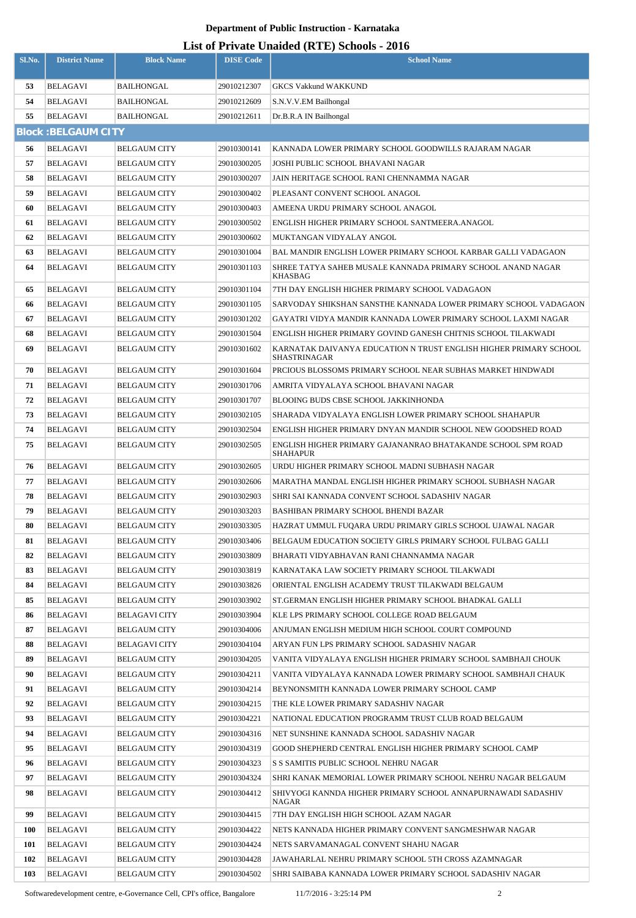|            |                            |                                            |                            | LISt of Private Unaided (KTE) Schools - 2010                                                                 |
|------------|----------------------------|--------------------------------------------|----------------------------|--------------------------------------------------------------------------------------------------------------|
| Sl.No.     | <b>District Name</b>       | <b>Block Name</b>                          | <b>DISE Code</b>           | <b>School Name</b>                                                                                           |
| 53         | <b>BELAGAVI</b>            | <b>BAILHONGAL</b>                          | 29010212307                | <b>GKCS Vakkund WAKKUND</b>                                                                                  |
| 54         | <b>BELAGAVI</b>            | <b>BAILHONGAL</b>                          | 29010212609                | S.N.V.V.EM Bailhongal                                                                                        |
| 55         | <b>BELAGAVI</b>            | BAILHONGAL                                 | 29010212611                | Dr.B.R.A IN Bailhongal                                                                                       |
|            | <b>Block: BELGAUM CITY</b> |                                            |                            |                                                                                                              |
| 56         | <b>BELAGAVI</b>            | <b>BELGAUM CITY</b>                        | 29010300141                | KANNADA LOWER PRIMARY SCHOOL GOODWILLS RAJARAM NAGAR                                                         |
| 57         | <b>BELAGAVI</b>            | <b>BELGAUM CITY</b>                        | 29010300205                | JOSHI PUBLIC SCHOOL BHAVANI NAGAR                                                                            |
| 58         | <b>BELAGAVI</b>            | <b>BELGAUM CITY</b>                        | 29010300207                | JAIN HERITAGE SCHOOL RANI CHENNAMMA NAGAR                                                                    |
| 59         | <b>BELAGAVI</b>            | <b>BELGAUM CITY</b>                        | 29010300402                | PLEASANT CONVENT SCHOOL ANAGOL                                                                               |
| 60         | <b>BELAGAVI</b>            | <b>BELGAUM CITY</b>                        | 29010300403                | AMEENA URDU PRIMARY SCHOOL ANAGOL                                                                            |
| 61         | <b>BELAGAVI</b>            | <b>BELGAUM CITY</b>                        | 29010300502                | ENGLISH HIGHER PRIMARY SCHOOL SANTMEERA.ANAGOL                                                               |
| 62         | <b>BELAGAVI</b>            | <b>BELGAUM CITY</b>                        | 29010300602                | MUKTANGAN VIDYALAY ANGOL                                                                                     |
| 63         | <b>BELAGAVI</b>            | <b>BELGAUM CITY</b>                        | 29010301004                | BAL MANDIR ENGLISH LOWER PRIMARY SCHOOL KARBAR GALLI VADAGAON                                                |
| 64         | BELAGAVI                   | <b>BELGAUM CITY</b>                        | 29010301103                | SHREE TATYA SAHEB MUSALE KANNADA PRIMARY SCHOOL ANAND NAGAR                                                  |
|            |                            |                                            |                            | <b>KHASBAG</b>                                                                                               |
| 65         | <b>BELAGAVI</b>            | <b>BELGAUM CITY</b>                        | 29010301104                | 7TH DAY ENGLISH HIGHER PRIMARY SCHOOL VADAGAON                                                               |
| 66         | BELAGAVI                   | <b>BELGAUM CITY</b>                        | 29010301105                | SARVODAY SHIKSHAN SANSTHE KANNADA LOWER PRIMARY SCHOOL VADAGAON                                              |
| 67         | <b>BELAGAVI</b>            | <b>BELGAUM CITY</b>                        | 29010301202                | GAYATRI VIDYA MANDIR KANNADA LOWER PRIMARY SCHOOL LAXMI NAGAR                                                |
| 68         | BELAGAVI                   | <b>BELGAUM CITY</b>                        | 29010301504                | ENGLISH HIGHER PRIMARY GOVIND GANESH CHITNIS SCHOOL TILAKWADI                                                |
| 69         | <b>BELAGAVI</b>            | <b>BELGAUM CITY</b>                        | 29010301602                | KARNATAK DAIVANYA EDUCATION N TRUST ENGLISH HIGHER PRIMARY SCHOOL<br><b>SHASTRINAGAR</b>                     |
| 70         | <b>BELAGAVI</b>            | <b>BELGAUM CITY</b>                        | 29010301604                | PRCIOUS BLOSSOMS PRIMARY SCHOOL NEAR SUBHAS MARKET HINDWADI                                                  |
| 71         | BELAGAVI                   | <b>BELGAUM CITY</b>                        | 29010301706                | AMRITA VIDYALAYA SCHOOL BHAVANI NAGAR                                                                        |
| 72         | BELAGAVI                   | <b>BELGAUM CITY</b>                        | 29010301707                | BLOOING BUDS CBSE SCHOOL JAKKINHONDA                                                                         |
| 73         | BELAGAVI                   | <b>BELGAUM CITY</b>                        | 29010302105                | SHARADA VIDYALAYA ENGLISH LOWER PRIMARY SCHOOL SHAHAPUR                                                      |
| 74         | <b>BELAGAVI</b>            | <b>BELGAUM CITY</b>                        | 29010302504                | ENGLISH HIGHER PRIMARY DNYAN MANDIR SCHOOL NEW GOODSHED ROAD                                                 |
| 75         | <b>BELAGAVI</b>            | <b>BELGAUM CITY</b>                        | 29010302505                | ENGLISH HIGHER PRIMARY GAJANANRAO BHATAKANDE SCHOOL SPM ROAD                                                 |
|            |                            |                                            |                            | <b>SHAHAPUR</b>                                                                                              |
| 76         | <b>BELAGAVI</b>            | <b>BELGAUM CITY</b>                        | 29010302605                | URDU HIGHER PRIMARY SCHOOL MADNI SUBHASH NAGAR                                                               |
| 77         | <b>BELAGAVI</b>            | <b>BELGAUM CITY</b>                        | 29010302606                | MARATHA MANDAL ENGLISH HIGHER PRIMARY SCHOOL SUBHASH NAGAR                                                   |
| 78         | <b>BELAGAVI</b>            | <b>BELGAUM CITY</b>                        | 29010302903                | SHRI SAI KANNADA CONVENT SCHOOL SADASHIV NAGAR                                                               |
| 79         | <b>BELAGAVI</b>            | <b>BELGAUM CITY</b>                        | 29010303203                | BASHIBAN PRIMARY SCHOOL BHENDI BAZAR                                                                         |
| 80         | <b>BELAGAVI</b>            | <b>BELGAUM CITY</b>                        | 29010303305                | HAZRAT UMMUL FUQARA URDU PRIMARY GIRLS SCHOOL UJAWAL NAGAR                                                   |
| 81         | <b>BELAGAVI</b>            | <b>BELGAUM CITY</b>                        | 29010303406                | BELGAUM EDUCATION SOCIETY GIRLS PRIMARY SCHOOL FULBAG GALLI                                                  |
| 82         | <b>BELAGAVI</b>            | <b>BELGAUM CITY</b>                        | 29010303809                | BHARATI VIDYABHAVAN RANI CHANNAMMA NAGAR                                                                     |
| 83         | BELAGAVI                   | <b>BELGAUM CITY</b>                        | 29010303819                | KARNATAKA LAW SOCIETY PRIMARY SCHOOL TILAKWADI                                                               |
| 84         | <b>BELAGAVI</b>            | <b>BELGAUM CITY</b>                        | 29010303826                | ORIENTAL ENGLISH ACADEMY TRUST TILAKWADI BELGAUM                                                             |
| 85         | BELAGAVI                   | <b>BELGAUM CITY</b>                        | 29010303902                | ST.GERMAN ENGLISH HIGHER PRIMARY SCHOOL BHADKAL GALLI                                                        |
| 86         | BELAGAVI                   | <b>BELAGAVI CITY</b>                       | 29010303904                | KLE LPS PRIMARY SCHOOL COLLEGE ROAD BELGAUM                                                                  |
| 87<br>88   | BELAGAVI                   | <b>BELGAUM CITY</b>                        | 29010304006                | ANJUMAN ENGLISH MEDIUM HIGH SCHOOL COURT COMPOUND                                                            |
| 89         | BELAGAVI<br>BELAGAVI       | <b>BELAGAVI CITY</b>                       | 29010304104<br>29010304205 | ARYAN FUN LPS PRIMARY SCHOOL SADASHIV NAGAR<br>VANITA VIDYALAYA ENGLISH HIGHER PRIMARY SCHOOL SAMBHAJI CHOUK |
| 90         | BELAGAVI                   | <b>BELGAUM CITY</b><br><b>BELGAUM CITY</b> | 29010304211                | VANITA VIDYALAYA KANNADA LOWER PRIMARY SCHOOL SAMBHAJI CHAUK                                                 |
| 91         | <b>BELAGAVI</b>            | <b>BELGAUM CITY</b>                        | 29010304214                | BEYNONSMITH KANNADA LOWER PRIMARY SCHOOL CAMP                                                                |
| 92         | <b>BELAGAVI</b>            | <b>BELGAUM CITY</b>                        | 29010304215                | THE KLE LOWER PRIMARY SADASHIV NAGAR                                                                         |
| 93         | BELAGAVI                   | <b>BELGAUM CITY</b>                        | 29010304221                | NATIONAL EDUCATION PROGRAMM TRUST CLUB ROAD BELGAUM                                                          |
| 94         | <b>BELAGAVI</b>            | <b>BELGAUM CITY</b>                        | 29010304316                | NET SUNSHINE KANNADA SCHOOL SADASHIV NAGAR                                                                   |
| 95         | BELAGAVI                   | <b>BELGAUM CITY</b>                        | 29010304319                | GOOD SHEPHERD CENTRAL ENGLISH HIGHER PRIMARY SCHOOL CAMP                                                     |
| 96         | BELAGAVI                   | <b>BELGAUM CITY</b>                        | 29010304323                | S S SAMITIS PUBLIC SCHOOL NEHRU NAGAR                                                                        |
| 97         | <b>BELAGAVI</b>            | <b>BELGAUM CITY</b>                        | 29010304324                | SHRI KANAK MEMORIAL LOWER PRIMARY SCHOOL NEHRU NAGAR BELGAUM                                                 |
| 98         | <b>BELAGAVI</b>            | <b>BELGAUM CITY</b>                        | 29010304412                | SHIVYOGI KANNDA HIGHER PRIMARY SCHOOL ANNAPURNAWADI SADASHIV                                                 |
|            |                            |                                            |                            | NAGAR                                                                                                        |
| 99         | <b>BELAGAVI</b>            | <b>BELGAUM CITY</b>                        | 29010304415                | 7TH DAY ENGLISH HIGH SCHOOL AZAM NAGAR                                                                       |
| <b>100</b> | <b>BELAGAVI</b>            | <b>BELGAUM CITY</b>                        | 29010304422                | NETS KANNADA HIGHER PRIMARY CONVENT SANGMESHWAR NAGAR                                                        |
| 101        | BELAGAVI                   | <b>BELGAUM CITY</b>                        | 29010304424                | NETS SARVAMANAGAL CONVENT SHAHU NAGAR                                                                        |
| 102        | BELAGAVI                   | <b>BELGAUM CITY</b>                        | 29010304428                | JAWAHARLAL NEHRU PRIMARY SCHOOL 5TH CROSS AZAMNAGAR                                                          |
| 103        | <b>BELAGAVI</b>            | <b>BELGAUM CITY</b>                        | 29010304502                | SHRI SAIBABA KANNADA LOWER PRIMARY SCHOOL SADASHIV NAGAR                                                     |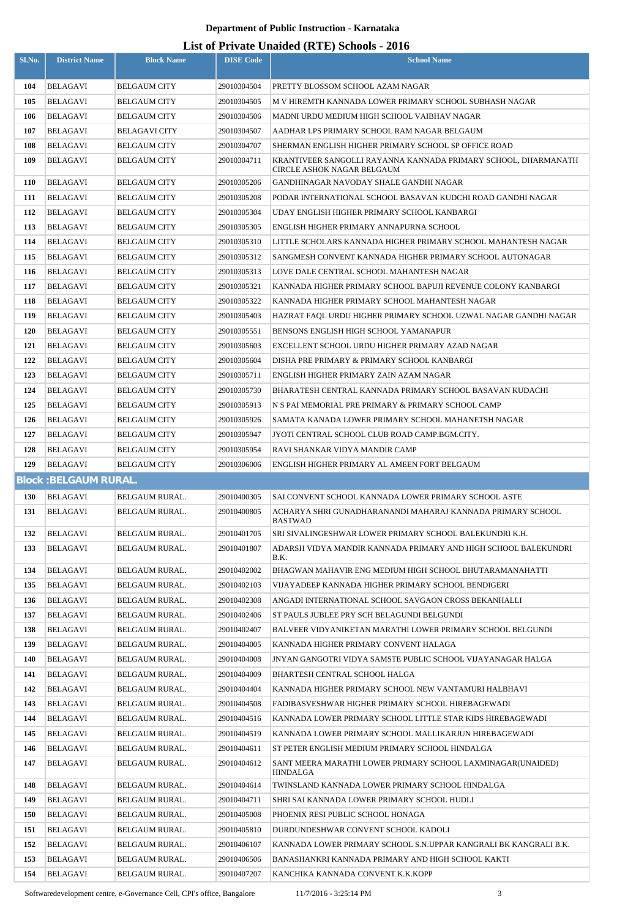| Sl.No.     | <b>District Name</b>               | <b>Block Name</b>                          | <b>DISE Code</b>           | $\mathbf{L}_{\text{net}}$ of The accuracy (RTL) behoods $\mathbf{F}_{\text{net}}$<br><b>School Name</b>       |
|------------|------------------------------------|--------------------------------------------|----------------------------|---------------------------------------------------------------------------------------------------------------|
| 104        | <b>BELAGAVI</b>                    | <b>BELGAUM CITY</b>                        | 29010304504                | PRETTY BLOSSOM SCHOOL AZAM NAGAR                                                                              |
| 105        | BELAGAVI                           | <b>BELGAUM CITY</b>                        | 29010304505                | M V HIREMTH KANNADA LOWER PRIMARY SCHOOL SUBHASH NAGAR                                                        |
| 106        | BELAGAVI                           | <b>BELGAUM CITY</b>                        | 29010304506                | MADNI URDU MEDIUM HIGH SCHOOL VAIBHAV NAGAR                                                                   |
| 107        | BELAGAVI                           | BELAGAVI CITY                              | 29010304507                | AADHAR LPS PRIMARY SCHOOL RAM NAGAR BELGAUM                                                                   |
| 108        | BELAGAVI                           | <b>BELGAUM CITY</b>                        | 29010304707                | SHERMAN ENGLISH HIGHER PRIMARY SCHOOL SP OFFICE ROAD                                                          |
| 109        | BELAGAVI                           | <b>BELGAUM CITY</b>                        | 29010304711                | KRANTIVEER SANGOLLI RAYANNA KANNADA PRIMARY SCHOOL, DHARMANATH                                                |
|            |                                    |                                            |                            | CIRCLE ASHOK NAGAR BELGAUM                                                                                    |
| <b>110</b> | BELAGAVI                           | <b>BELGAUM CITY</b>                        | 29010305206                | GANDHINAGAR NAVODAY SHALE GANDHI NAGAR                                                                        |
| 111        | BELAGAVI                           | <b>BELGAUM CITY</b>                        | 29010305208                | PODAR INTERNATIONAL SCHOOL BASAVAN KUDCHI ROAD GANDHI NAGAR                                                   |
| 112        | <b>BELAGAVI</b>                    | <b>BELGAUM CITY</b>                        | 29010305304                | UDAY ENGLISH HIGHER PRIMARY SCHOOL KANBARGI                                                                   |
| 113        | BELAGAVI                           | <b>BELGAUM CITY</b>                        | 29010305305                | ENGLISH HIGHER PRIMARY ANNAPURNA SCHOOL                                                                       |
| 114        | <b>BELAGAVI</b>                    | <b>BELGAUM CITY</b>                        | 29010305310                | LITTLE SCHOLARS KANNADA HIGHER PRIMARY SCHOOL MAHANTESH NAGAR                                                 |
| 115        | BELAGAVI                           | <b>BELGAUM CITY</b>                        | 29010305312                | SANGMESH CONVENT KANNADA HIGHER PRIMARY SCHOOL AUTONAGAR                                                      |
| 116        | BELAGAVI                           | <b>BELGAUM CITY</b>                        | 29010305313                | LOVE DALE CENTRAL SCHOOL MAHANTESH NAGAR                                                                      |
| 117<br>118 | <b>BELAGAVI</b><br>BELAGAVI        | <b>BELGAUM CITY</b><br><b>BELGAUM CITY</b> | 29010305321<br>29010305322 | KANNADA HIGHER PRIMARY SCHOOL BAPUJI REVENUE COLONY KANBARGI<br>KANNADA HIGHER PRIMARY SCHOOL MAHANTESH NAGAR |
| 119        | BELAGAVI                           | <b>BELGAUM CITY</b>                        | 29010305403                | HAZRAT FAQL URDU HIGHER PRIMARY SCHOOL UZWAL NAGAR GANDHI NAGAR                                               |
| 120        | BELAGAVI                           | <b>BELGAUM CITY</b>                        | 29010305551                | BENSONS ENGLISH HIGH SCHOOL YAMANAPUR                                                                         |
| 121        | BELAGAVI                           | <b>BELGAUM CITY</b>                        | 29010305603                | EXCELLENT SCHOOL URDU HIGHER PRIMARY AZAD NAGAR                                                               |
| 122        | BELAGAVI                           | <b>BELGAUM CITY</b>                        | 29010305604                | DISHA PRE PRIMARY & PRIMARY SCHOOL KANBARGI                                                                   |
| 123        | <b>BELAGAVI</b>                    | <b>BELGAUM CITY</b>                        | 29010305711                | ENGLISH HIGHER PRIMARY ZAIN AZAM NAGAR                                                                        |
| 124        | <b>BELAGAVI</b>                    | <b>BELGAUM CITY</b>                        | 29010305730                | BHARATESH CENTRAL KANNADA PRIMARY SCHOOL BASAVAN KUDACHI                                                      |
| 125        | <b>BELAGAVI</b>                    | <b>BELGAUM CITY</b>                        | 29010305913                | N S PAI MEMORIAL PRE PRIMARY & PRIMARY SCHOOL CAMP                                                            |
| 126        | BELAGAVI                           | <b>BELGAUM CITY</b>                        | 29010305926                | SAMATA KANADA LOWER PRIMARY SCHOOL MAHANETSH NAGAR                                                            |
| 127        | <b>BELAGAVI</b>                    | <b>BELGAUM CITY</b>                        | 29010305947                | JYOTI CENTRAL SCHOOL CLUB ROAD CAMP.BGM.CITY.                                                                 |
| 128        | BELAGAVI                           | <b>BELGAUM CITY</b>                        | 29010305954                | RAVI SHANKAR VIDYA MANDIR CAMP                                                                                |
| 129        | <b>BELAGAVI</b>                    | <b>BELGAUM CITY</b>                        | 29010306006                | ENGLISH HIGHER PRIMARY AL AMEEN FORT BELGAUM                                                                  |
|            | <b>Block: BELGAUM RURAL.</b>       |                                            |                            |                                                                                                               |
| 130        | <b>BELAGAVI</b>                    | <b>BELGAUM RURAL.</b>                      | 29010400305                | SAI CONVENT SCHOOL KANNADA LOWER PRIMARY SCHOOL ASTE                                                          |
| 131        | <b>BELAGAVI</b>                    | BELGAUM RURAL.                             | 29010400805                | ACHARYA SHRI GUNADHARANANDI MAHARAJ KANNADA PRIMARY SCHOOL                                                    |
| 132        | BELAGAVI                           | BELGAUM RURAL.                             | 29010401705                | <b>BASTWAD</b><br>SRI SIVALINGESHWAR LOWER PRIMARY SCHOOL BALEKUNDRI K.H.                                     |
| 133        | <b>BELAGAVI</b>                    | BELGAUM RURAL.                             | 29010401807                | ADARSH VIDYA MANDIR KANNADA PRIMARY AND HIGH SCHOOL BALEKUNDRI                                                |
|            |                                    |                                            |                            | B.K.                                                                                                          |
| 134        | <b>BELAGAVI</b>                    | BELGAUM RURAL.                             | 29010402002                | BHAGWAN MAHAVIR ENG MEDIUM HIGH SCHOOL BHUTARAMANAHATTI<br>VIJAYADEEP KANNADA HIGHER PRIMARY SCHOOL BENDIGERI |
| 135<br>136 | <b>BELAGAVI</b><br><b>BELAGAVI</b> | BELGAUM RURAL.<br><b>BELGAUM RURAL.</b>    | 29010402103<br>29010402308 | ANGADI INTERNATIONAL SCHOOL SAVGAON CROSS BEKANHALLI                                                          |
| 137        | <b>BELAGAVI</b>                    | <b>BELGAUM RURAL.</b>                      | 29010402406                | ST PAULS JUBLEE PRY SCH BELAGUNDI BELGUNDI                                                                    |
| 138        | <b>BELAGAVI</b>                    | BELGAUM RURAL.                             | 29010402407                | BALVEER VIDYANIKETAN MARATHI LOWER PRIMARY SCHOOL BELGUNDI                                                    |
| 139        | BELAGAVI                           | BELGAUM RURAL.                             | 29010404005                | KANNADA HIGHER PRIMARY CONVENT HALAGA                                                                         |
| 140        | <b>BELAGAVI</b>                    | <b>BELGAUM RURAL.</b>                      | 29010404008                | JNYAN GANGOTRI VIDYA SAMSTE PUBLIC SCHOOL VIJAYANAGAR HALGA                                                   |
| 141        | <b>BELAGAVI</b>                    | BELGAUM RURAL.                             | 29010404009                | BHARTESH CENTRAL SCHOOL HALGA                                                                                 |
| 142        | <b>BELAGAVI</b>                    | BELGAUM RURAL.                             | 29010404404                | KANNADA HIGHER PRIMARY SCHOOL NEW VANTAMURI HALBHAVI                                                          |
| 143        | BELAGAVI                           | BELGAUM RURAL.                             | 29010404508                | FADIBASVESHWAR HIGHER PRIMARY SCHOOL HIREBAGEWADI                                                             |
| 144        | <b>BELAGAVI</b>                    | BELGAUM RURAL.                             | 29010404516                | KANNADA LOWER PRIMARY SCHOOL LITTLE STAR KIDS HIREBAGEWADI                                                    |
| 145        | BELAGAVI                           | BELGAUM RURAL.                             | 29010404519                | KANNADA LOWER PRIMARY SCHOOL MALLIKARJUN HIREBAGEWADI                                                         |
| 146        | <b>BELAGAVI</b>                    | BELGAUM RURAL.                             | 29010404611                | ST PETER ENGLISH MEDIUM PRIMARY SCHOOL HINDALGA                                                               |
| 147        | BELAGAVI                           | BELGAUM RURAL.                             | 29010404612                | SANT MEERA MARATHI LOWER PRIMARY SCHOOL LAXMINAGAR(UNAIDED)<br><b>HINDALGA</b>                                |
| 148        | <b>BELAGAVI</b>                    | BELGAUM RURAL.                             | 29010404614                | TWINSLAND KANNADA LOWER PRIMARY SCHOOL HINDALGA                                                               |
| 149        | <b>BELAGAVI</b>                    | <b>BELGAUM RURAL.</b>                      | 29010404711                | SHRI SAI KANNADA LOWER PRIMARY SCHOOL HUDLI                                                                   |
| 150        | <b>BELAGAVI</b>                    | BELGAUM RURAL.                             | 29010405008                | PHOENIX RESI PUBLIC SCHOOL HONAGA                                                                             |
| 151        | <b>BELAGAVI</b>                    | BELGAUM RURAL.                             | 29010405810                | DURDUNDESHWAR CONVENT SCHOOL KADOLI                                                                           |
| 152        | BELAGAVI                           | <b>BELGAUM RURAL.</b>                      | 29010406107                | KANNADA LOWER PRIMARY SCHOOL S.N.UPPAR KANGRALI BK KANGRALI B.K.                                              |
| 153        | <b>BELAGAVI</b>                    | <b>BELGAUM RURAL.</b>                      | 29010406506                | BANASHANKRI KANNADA PRIMARY AND HIGH SCHOOL KAKTI                                                             |
| 154        | BELAGAVI                           | <b>BELGAUM RURAL.</b>                      | 29010407207                | KANCHIKA KANNADA CONVENT K.K.KOPP                                                                             |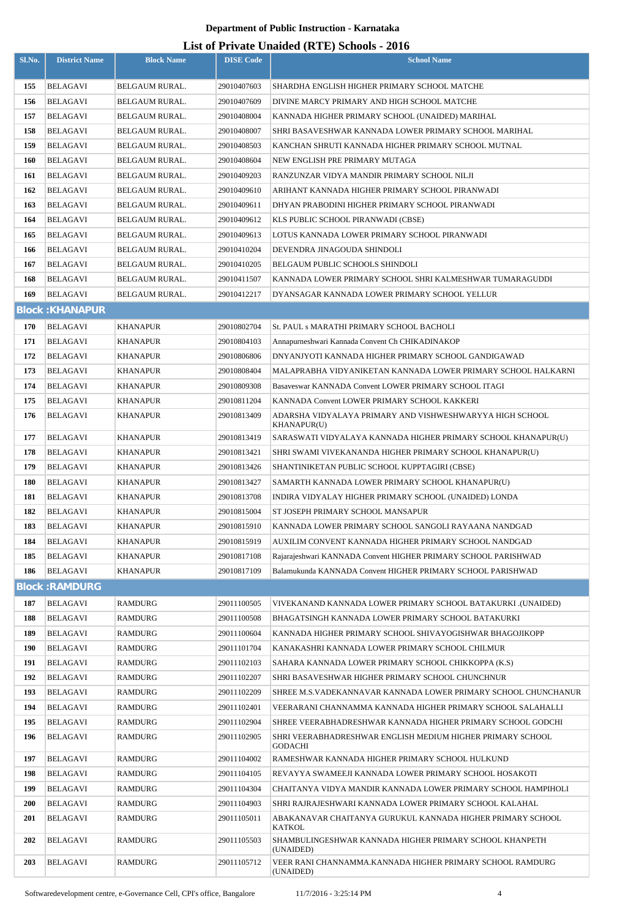|        |                        |                       |                  | $\text{List of I I1value}$ charged $(\text{NIE})$ behoofs - 2010             |
|--------|------------------------|-----------------------|------------------|------------------------------------------------------------------------------|
| Sl.No. | <b>District Name</b>   | <b>Block Name</b>     | <b>DISE Code</b> | <b>School Name</b>                                                           |
| 155    | <b>BELAGAVI</b>        | <b>BELGAUM RURAL.</b> | 29010407603      | SHARDHA ENGLISH HIGHER PRIMARY SCHOOL MATCHE                                 |
| 156    | <b>BELAGAVI</b>        | <b>BELGAUM RURAL.</b> | 29010407609      | DIVINE MARCY PRIMARY AND HIGH SCHOOL MATCHE                                  |
| 157    | <b>BELAGAVI</b>        | <b>BELGAUM RURAL.</b> | 29010408004      | KANNADA HIGHER PRIMARY SCHOOL (UNAIDED) MARIHAL                              |
| 158    | BELAGAVI               | BELGAUM RURAL.        | 29010408007      | SHRI BASAVESHWAR KANNADA LOWER PRIMARY SCHOOL MARIHAL                        |
| 159    | BELAGAVI               | <b>BELGAUM RURAL.</b> | 29010408503      | KANCHAN SHRUTI KANNADA HIGHER PRIMARY SCHOOL MUTNAL                          |
| 160    | <b>BELAGAVI</b>        | BELGAUM RURAL.        | 29010408604      | NEW ENGLISH PRE PRIMARY MUTAGA                                               |
| 161    | <b>BELAGAVI</b>        | BELGAUM RURAL.        | 29010409203      | RANZUNZAR VIDYA MANDIR PRIMARY SCHOOL NILJI                                  |
| 162    | BELAGAVI               | BELGAUM RURAL.        | 29010409610      | ARIHANT KANNADA HIGHER PRIMARY SCHOOL PIRANWADI                              |
| 163    | <b>BELAGAVI</b>        | BELGAUM RURAL.        | 29010409611      | DHYAN PRABODINI HIGHER PRIMARY SCHOOL PIRANWADI                              |
| 164    | BELAGAVI               | BELGAUM RURAL.        | 29010409612      | KLS PUBLIC SCHOOL PIRANWADI (CBSE)                                           |
| 165    | <b>BELAGAVI</b>        | BELGAUM RURAL.        | 29010409613      | LOTUS KANNADA LOWER PRIMARY SCHOOL PIRANWADI                                 |
| 166    | BELAGAVI               | <b>BELGAUM RURAL.</b> | 29010410204      | DEVENDRA JINAGOUDA SHINDOLI                                                  |
| 167    | <b>BELAGAVI</b>        | BELGAUM RURAL.        | 29010410205      | BELGAUM PUBLIC SCHOOLS SHINDOLI                                              |
| 168    | BELAGAVI               | BELGAUM RURAL.        | 29010411507      | KANNADA LOWER PRIMARY SCHOOL SHRI KALMESHWAR TUMARAGUDDI                     |
| 169    | BELAGAVI               | BELGAUM RURAL.        | 29010412217      | DYANSAGAR KANNADA LOWER PRIMARY SCHOOL YELLUR                                |
|        | <b>Block: KHANAPUR</b> |                       |                  |                                                                              |
| 170    | <b>BELAGAVI</b>        | <b>KHANAPUR</b>       | 29010802704      | St. PAUL s MARATHI PRIMARY SCHOOL BACHOLI                                    |
| 171    | <b>BELAGAVI</b>        | <b>KHANAPUR</b>       | 29010804103      | Annapurneshwari Kannada Convent Ch CHIKADINAKOP                              |
| 172    | BELAGAVI               | KHANAPUR              | 29010806806      | DNYANJYOTI KANNADA HIGHER PRIMARY SCHOOL GANDIGAWAD                          |
| 173    | <b>BELAGAVI</b>        | <b>KHANAPUR</b>       | 29010808404      | MALAPRABHA VIDYANIKETAN KANNADA LOWER PRIMARY SCHOOL HALKARNI                |
| 174    | BELAGAVI               | KHANAPUR              | 29010809308      | Basaveswar KANNADA Convent LOWER PRIMARY SCHOOL ITAGI                        |
| 175    | BELAGAVI               | <b>KHANAPUR</b>       | 29010811204      | KANNADA Convent LOWER PRIMARY SCHOOL KAKKERI                                 |
| 176    | BELAGAVI               | <b>KHANAPUR</b>       | 29010813409      | ADARSHA VIDYALAYA PRIMARY AND VISHWESHWARYYA HIGH SCHOOL<br>KHANAPUR(U)      |
| 177    | BELAGAVI               | <b>KHANAPUR</b>       | 29010813419      | SARASWATI VIDYALAYA KANNADA HIGHER PRIMARY SCHOOL KHANAPUR(U)                |
| 178    | <b>BELAGAVI</b>        | <b>KHANAPUR</b>       | 29010813421      | SHRI SWAMI VIVEKANANDA HIGHER PRIMARY SCHOOL KHANAPUR(U)                     |
| 179    | BELAGAVI               | <b>KHANAPUR</b>       | 29010813426      | SHANTINIKETAN PUBLIC SCHOOL KUPPTAGIRI (CBSE)                                |
| 180    | <b>BELAGAVI</b>        | <b>KHANAPUR</b>       | 29010813427      | SAMARTH KANNADA LOWER PRIMARY SCHOOL KHANAPUR(U)                             |
| 181    | <b>BELAGAVI</b>        | <b>KHANAPUR</b>       | 29010813708      | INDIRA VIDYALAY HIGHER PRIMARY SCHOOL (UNAIDED) LONDA                        |
| 182    | <b>BELAGAVI</b>        | <b>KHANAPUR</b>       | 29010815004      | ST JOSEPH PRIMARY SCHOOL MANSAPUR                                            |
| 183    | <b>BELAGAVI</b>        | <b>KHANAPUR</b>       | 29010815910      | KANNADA LOWER PRIMARY SCHOOL SANGOLI RAYAANA NANDGAD                         |
| 184    | <b>BELAGAVI</b>        | <b>KHANAPUR</b>       | 29010815919      | AUXILIM CONVENT KANNADA HIGHER PRIMARY SCHOOL NANDGAD                        |
| 185    | BELAGAVI               | <b>KHANAPUR</b>       | 29010817108      | Rajarajeshwari KANNADA Convent HIGHER PRIMARY SCHOOL PARISHWAD               |
| 186    | <b>BELAGAVI</b>        | <b>KHANAPUR</b>       | 29010817109      | Balamukunda KANNADA Convent HIGHER PRIMARY SCHOOL PARISHWAD                  |
|        | <b>Block:RAMDURG</b>   |                       |                  |                                                                              |
| 187    | <b>BELAGAVI</b>        | RAMDURG               | 29011100505      | VIVEKANAND KANNADA LOWER PRIMARY SCHOOL BATAKURKI .(UNAIDED)                 |
| 188    | BELAGAVI               | RAMDURG               | 29011100508      | BHAGATSINGH KANNADA LOWER PRIMARY SCHOOL BATAKURKI                           |
| 189    | BELAGAVI               | <b>RAMDURG</b>        | 29011100604      | KANNADA HIGHER PRIMARY SCHOOL SHIVAYOGISHWAR BHAGOJIKOPP                     |
| 190    | <b>BELAGAVI</b>        | <b>RAMDURG</b>        | 29011101704      | KANAKASHRI KANNADA LOWER PRIMARY SCHOOL CHILMUR                              |
| 191    | BELAGAVI               | <b>RAMDURG</b>        | 29011102103      | SAHARA KANNADA LOWER PRIMARY SCHOOL CHIKKOPPA (K.S)                          |
| 192    | <b>BELAGAVI</b>        | <b>RAMDURG</b>        | 29011102207      | SHRI BASAVESHWAR HIGHER PRIMARY SCHOOL CHUNCHNUR                             |
| 193    | BELAGAVI               | <b>RAMDURG</b>        | 29011102209      | SHREE M.S.VADEKANNAVAR KANNADA LOWER PRIMARY SCHOOL CHUNCHANUR               |
| 194    | <b>BELAGAVI</b>        | <b>RAMDURG</b>        | 29011102401      | VEERARANI CHANNAMMA KANNADA HIGHER PRIMARY SCHOOL SALAHALLI                  |
| 195    | BELAGAVI               | <b>RAMDURG</b>        | 29011102904      | SHREE VEERABHADRESHWAR KANNADA HIGHER PRIMARY SCHOOL GODCHI                  |
| 196    | BELAGAVI               | <b>RAMDURG</b>        | 29011102905      | SHRI VEERABHADRESHWAR ENGLISH MEDIUM HIGHER PRIMARY SCHOOL<br><b>GODACHI</b> |
| 197    | BELAGAVI               | <b>RAMDURG</b>        | 29011104002      | RAMESHWAR KANNADA HIGHER PRIMARY SCHOOL HULKUND                              |
| 198    | BELAGAVI               | RAMDURG               | 29011104105      | REVAYYA SWAMEEJI KANNADA LOWER PRIMARY SCHOOL HOSAKOTI                       |
| 199    | <b>BELAGAVI</b>        | <b>RAMDURG</b>        | 29011104304      | CHAITANYA VIDYA MANDIR KANNADA LOWER PRIMARY SCHOOL HAMPIHOLI                |
| 200    | <b>BELAGAVI</b>        | RAMDURG               | 29011104903      | SHRI RAJRAJESHWARI KANNADA LOWER PRIMARY SCHOOL KALAHAL                      |
| 201    | BELAGAVI               | <b>RAMDURG</b>        | 29011105011      | ABAKANAVAR CHAITANYA GURUKUL KANNADA HIGHER PRIMARY SCHOOL<br>KATKOL         |
| 202    | BELAGAVI               | <b>RAMDURG</b>        | 29011105503      | SHAMBULINGESHWAR KANNADA HIGHER PRIMARY SCHOOL KHANPETH<br>(UNAIDED)         |
| 203    | BELAGAVI               | RAMDURG               | 29011105712      | VEER RANI CHANNAMMA.KANNADA HIGHER PRIMARY SCHOOL RAMDURG<br>(UNAIDED)       |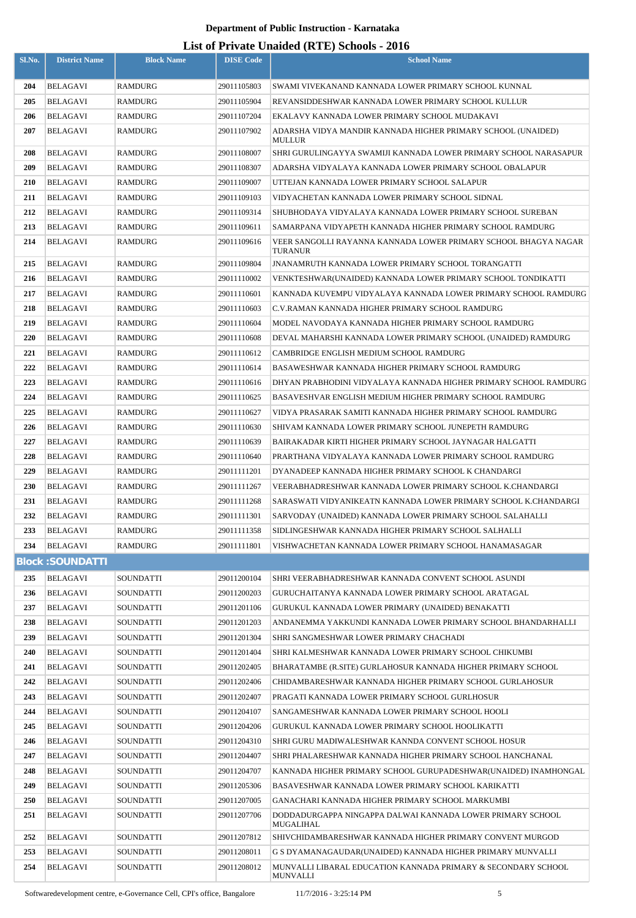| Sl.No. | <b>District Name</b>    | <b>Block Name</b> | <b>DISE Code</b> | $mucu$ (1112) behoord<br><b>School Name</b>                                       |
|--------|-------------------------|-------------------|------------------|-----------------------------------------------------------------------------------|
| 204    | <b>BELAGAVI</b>         | <b>RAMDURG</b>    | 29011105803      | SWAMI VIVEKANAND KANNADA LOWER PRIMARY SCHOOL KUNNAL                              |
| 205    | <b>BELAGAVI</b>         | <b>RAMDURG</b>    | 29011105904      | REVANSIDDESHWAR KANNADA LOWER PRIMARY SCHOOL KULLUR                               |
| 206    | BELAGAVI                | <b>RAMDURG</b>    | 29011107204      | EKALAVY KANNADA LOWER PRIMARY SCHOOL MUDAKAVI                                     |
| 207    | BELAGAVI                | RAMDURG           | 29011107902      | ADARSHA VIDYA MANDIR KANNADA HIGHER PRIMARY SCHOOL (UNAIDED)<br><b>MULLUR</b>     |
| 208    | <b>BELAGAVI</b>         | <b>RAMDURG</b>    | 29011108007      | SHRI GURULINGAYYA SWAMIJI KANNADA LOWER PRIMARY SCHOOL NARASAPUR                  |
| 209    | BELAGAVI                | RAMDURG           | 29011108307      | ADARSHA VIDYALAYA KANNADA LOWER PRIMARY SCHOOL OBALAPUR                           |
| 210    | <b>BELAGAVI</b>         | <b>RAMDURG</b>    | 29011109007      | UTTEJAN KANNADA LOWER PRIMARY SCHOOL SALAPUR                                      |
| 211    | <b>BELAGAVI</b>         | RAMDURG           | 29011109103      | VIDYACHETAN KANNADA LOWER PRIMARY SCHOOL SIDNAL                                   |
| 212    | <b>BELAGAVI</b>         | RAMDURG           | 29011109314      | SHUBHODAYA VIDYALAYA KANNADA LOWER PRIMARY SCHOOL SUREBAN                         |
| 213    | BELAGAVI                | RAMDURG           | 29011109611      | SAMARPANA VIDYAPETH KANNADA HIGHER PRIMARY SCHOOL RAMDURG                         |
| 214    | <b>BELAGAVI</b>         | RAMDURG           | 29011109616      | VEER SANGOLLI RAYANNA KANNADA LOWER PRIMARY SCHOOL BHAGYA NAGAR<br><b>TURANUR</b> |
| 215    | <b>BELAGAVI</b>         | <b>RAMDURG</b>    | 29011109804      | <b>JNANAMRUTH KANNADA LOWER PRIMARY SCHOOL TORANGATTI</b>                         |
| 216    | <b>BELAGAVI</b>         | RAMDURG           | 29011110002      | VENKTESHWAR(UNAIDED) KANNADA LOWER PRIMARY SCHOOL TONDIKATTI                      |
| 217    | BELAGAVI                | <b>RAMDURG</b>    | 29011110601      | KANNADA KUVEMPU VIDYALAYA KANNADA LOWER PRIMARY SCHOOL RAMDURG                    |
| 218    | <b>BELAGAVI</b>         | RAMDURG           | 29011110603      | C.V.RAMAN KANNADA HIGHER PRIMARY SCHOOL RAMDURG                                   |
| 219    | BELAGAVI                | <b>RAMDURG</b>    | 29011110604      | MODEL NAVODAYA KANNADA HIGHER PRIMARY SCHOOL RAMDURG                              |
| 220    | <b>BELAGAVI</b>         | RAMDURG           | 29011110608      | DEVAL MAHARSHI KANNADA LOWER PRIMARY SCHOOL (UNAIDED) RAMDURG                     |
| 221    | <b>BELAGAVI</b>         | RAMDURG           | 29011110612      | CAMBRIDGE ENGLISH MEDIUM SCHOOL RAMDURG                                           |
| 222    | BELAGAVI                | RAMDURG           | 29011110614      | BASAWESHWAR KANNADA HIGHER PRIMARY SCHOOL RAMDURG                                 |
| 223    | <b>BELAGAVI</b>         | RAMDURG           | 29011110616      | DHYAN PRABHODINI VIDYALAYA KANNADA HIGHER PRIMARY SCHOOL RAMDURG                  |
| 224    | BELAGAVI                | RAMDURG           | 29011110625      | BASAVESHVAR ENGLISH MEDIUM HIGHER PRIMARY SCHOOL RAMDURG                          |
| 225    | <b>BELAGAVI</b>         | RAMDURG           | 29011110627      | VIDYA PRASARAK SAMITI KANNADA HIGHER PRIMARY SCHOOL RAMDURG                       |
| 226    | BELAGAVI                | RAMDURG           | 29011110630      | SHIVAM KANNADA LOWER PRIMARY SCHOOL JUNEPETH RAMDURG                              |
| 227    | <b>BELAGAVI</b>         | RAMDURG           | 29011110639      | BAIRAKADAR KIRTI HIGHER PRIMARY SCHOOL JAYNAGAR HALGATTI                          |
| 228    | <b>BELAGAVI</b>         | RAMDURG           | 29011110640      | PRARTHANA VIDYALAYA KANNADA LOWER PRIMARY SCHOOL RAMDURG                          |
| 229    | <b>BELAGAVI</b>         | <b>RAMDURG</b>    | 29011111201      | DYANADEEP KANNADA HIGHER PRIMARY SCHOOL K CHANDARGI                               |
| 230    | BELAGAVI                | RAMDURG           | 29011111267      | VEERABHADRESHWAR KANNADA LOWER PRIMARY SCHOOL K.CHANDARGI                         |
| 231    | <b>BELAGAVI</b>         | RAMDURG           | 29011111268      | SARASWATI VIDYANIKEATN KANNADA LOWER PRIMARY SCHOOL K.CHANDARGI                   |
| 232    | BELAGAVI                | <b>RAMDURG</b>    | 29011111301      | SARVODAY (UNAIDED) KANNADA LOWER PRIMARY SCHOOL SALAHALLI                         |
| 233    | <b>BELAGAVI</b>         | <b>RAMDURG</b>    | 29011111358      | SIDLINGESHWAR KANNADA HIGHER PRIMARY SCHOOL SALHALLI                              |
| 234    | <b>BELAGAVI</b>         | <b>RAMDURG</b>    | 29011111801      | VISHWACHETAN KANNADA LOWER PRIMARY SCHOOL HANAMASAGAR                             |
|        | <b>Block: SOUNDATTI</b> |                   |                  |                                                                                   |
| 235    | <b>BELAGAVI</b>         | SOUNDATTI         | 29011200104      | SHRI VEERABHADRESHWAR KANNADA CONVENT SCHOOL ASUNDI                               |
| 236    | BELAGAVI                | SOUNDATTI         | 29011200203      | GURUCHAITANYA KANNADA LOWER PRIMARY SCHOOL ARATAGAL                               |
| 237    | BELAGAVI                | SOUNDATTI         | 29011201106      | <b>GURUKUL KANNADA LOWER PRIMARY (UNAIDED) BENAKATTI</b>                          |
| 238    | BELAGAVI                | SOUNDATTI         | 29011201203      | ANDANEMMA YAKKUNDI KANNADA LOWER PRIMARY SCHOOL BHANDARHALLI                      |
| 239    | <b>BELAGAVI</b>         | SOUNDATTI         | 29011201304      | SHRI SANGMESHWAR LOWER PRIMARY CHACHADI                                           |
| 240    | BELAGAVI                | SOUNDATTI         | 29011201404      | SHRI KALMESHWAR KANNADA LOWER PRIMARY SCHOOL CHIKUMBI                             |
| 241    | <b>BELAGAVI</b>         | SOUNDATTI         | 29011202405      | BHARATAMBE (R.SITE) GURLAHOSUR KANNADA HIGHER PRIMARY SCHOOL                      |
| 242    | BELAGAVI                | SOUNDATTI         | 29011202406      | CHIDAMBARESHWAR KANNADA HIGHER PRIMARY SCHOOL GURLAHOSUR                          |
| 243    | <b>BELAGAVI</b>         | SOUNDATTI         | 29011202407      | PRAGATI KANNADA LOWER PRIMARY SCHOOL GURLHOSUR                                    |
| 244    | BELAGAVI                | SOUNDATTI         | 29011204107      | SANGAMESHWAR KANNADA LOWER PRIMARY SCHOOL HOOLI                                   |
| 245    | <b>BELAGAVI</b>         | SOUNDATTI         | 29011204206      | GURUKUL KANNADA LOWER PRIMARY SCHOOL HOOLIKATTI                                   |
| 246    | BELAGAVI                | SOUNDATTI         | 29011204310      | SHRI GURU MADIWALESHWAR KANNDA CONVENT SCHOOL HOSUR                               |
| 247    | BELAGAVI                | SOUNDATTI         | 29011204407      | SHRI PHALARESHWAR KANNADA HIGHER PRIMARY SCHOOL HANCHANAL                         |
| 248    | <b>BELAGAVI</b>         | SOUNDATTI         | 29011204707      | KANNADA HIGHER PRIMARY SCHOOL GURUPADESHWAR(UNAIDED) INAMHONGAL                   |
| 249    | BELAGAVI                | SOUNDATTI         | 29011205306      | BASAVESHWAR KANNADA LOWER PRIMARY SCHOOL KARIKATTI                                |
| 250    | <b>BELAGAVI</b>         | SOUNDATTI         | 29011207005      | GANACHARI KANNADA HIGHER PRIMARY SCHOOL MARKUMBI                                  |
| 251    | <b>BELAGAVI</b>         | <b>SOUNDATTI</b>  | 29011207706      | DODDADURGAPPA NINGAPPA DALWAI KANNADA LOWER PRIMARY SCHOOL<br><b>MUGALIHAL</b>    |
| 252    | <b>BELAGAVI</b>         | <b>SOUNDATTI</b>  | 29011207812      | SHIVCHIDAMBARESHWAR KANNADA HIGHER PRIMARY CONVENT MURGOD                         |
| 253    | BELAGAVI                | SOUNDATTI         | 29011208011      | G S DYAMANAGAUDAR(UNAIDED) KANNADA HIGHER PRIMARY MUNVALLI                        |
| 254    | <b>BELAGAVI</b>         | SOUNDATTI         | 29011208012      | MUNVALLI LIBARAL EDUCATION KANNADA PRIMARY & SECONDARY SCHOOL<br>MUNVALLI         |